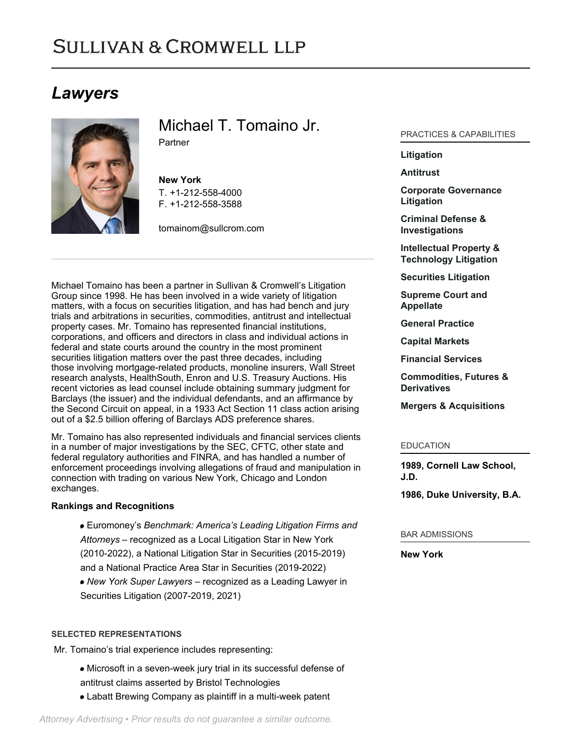# **SULLIVAN & CROMWELL LLP**

# *Lawyers*



Michael T. Tomaino Jr. Partner

**New York** T. [+1-212-558-4000](tel:+1-212-558-4000) F. [+1-212-558-3588](tel:+1-212-558-3588)

[tomainom@sullcrom.com](https://www.sullcrom.com/email-disclaimer?profsid=lawyers/MichaelT-TomainoJr)

Michael Tomaino has been a partner in Sullivan & Cromwell's Litigation Group since 1998. He has been involved in a wide variety of litigation matters, with a focus on securities litigation, and has had bench and jury trials and arbitrations in securities, commodities, antitrust and intellectual property cases. Mr. Tomaino has represented financial institutions, corporations, and officers and directors in class and individual actions in federal and state courts around the country in the most prominent securities litigation matters over the past three decades, including those involving mortgage-related products, monoline insurers, Wall Street research analysts, HealthSouth, Enron and U.S. Treasury Auctions. His recent victories as lead counsel include obtaining summary judgment for Barclays (the issuer) and the individual defendants, and an affirmance by the Second Circuit on appeal, in a 1933 Act Section 11 class action arising out of a \$2.5 billion offering of Barclays ADS preference shares.

Mr. Tomaino has also represented individuals and financial services clients in a number of major investigations by the SEC, CFTC, other state and federal regulatory authorities and FINRA, and has handled a number of enforcement proceedings involving allegations of fraud and manipulation in connection with trading on various New York, Chicago and London exchanges.

# **Rankings and Recognitions**

Euromoney's *Benchmark: America's Leading Litigation Firms and Attorneys* – recognized as a Local Litigation Star in New York (2010-2022), a National Litigation Star in Securities (2015-2019) and a National Practice Area Star in Securities (2019-2022) *New York Super Lawyers* – recognized as a Leading Lawyer in Securities Litigation (2007-2019, 2021)

#### **SELECTED REPRESENTATIONS**

Mr. Tomaino's trial experience includes representing:

- Microsoft in a seven-week jury trial in its successful defense of antitrust claims asserted by Bristol Technologies
- Labatt Brewing Company as plaintiff in a multi-week patent

# *Attorney Advertising • Prior results do not guarantee a similar outcome.*

### PRACTICES & CAPABILITIES

## **[Litigation](https://www.sullcrom.com/Litigation-Practices)**

#### **[Antitrust](https://www.sullcrom.com/Antitrust-Practices)**

**[Corporate Governance](https://www.sullcrom.com/corporate-governance-litigation-practice) [Litigation](https://www.sullcrom.com/corporate-governance-litigation-practice)**

**[Criminal Defense &](https://www.sullcrom.com/Criminal-Defense-and-Investigations-Practices) [Investigations](https://www.sullcrom.com/Criminal-Defense-and-Investigations-Practices)**

**[Intellectual Property &](https://www.sullcrom.com/intellectual-property-and-technology-litigation) [Technology Litigation](https://www.sullcrom.com/intellectual-property-and-technology-litigation)**

**[Securities Litigation](https://www.sullcrom.com/Securities-Litigation-Practices)**

**[Supreme Court and](https://www.sullcrom.com/Supreme-Court-and-Appellate-Practices) [Appellate](https://www.sullcrom.com/Supreme-Court-and-Appellate-Practices)**

**[General Practice](https://www.sullcrom.com/general-practice)**

**[Capital Markets](https://www.sullcrom.com/capital-markets-practice)**

**[Financial Services](https://www.sullcrom.com/Financial-Institutions-Practices)**

**[Commodities, Futures &](https://www.sullcrom.com/Commodities-Futures-and-Derivatives-Practices) [Derivatives](https://www.sullcrom.com/Commodities-Futures-and-Derivatives-Practices)**

**[Mergers & Acquisitions](https://www.sullcrom.com/Mergers--Acquisitions-Practices)**

#### EDUCATION

**1989, Cornell Law School, J.D.** 

**1986, Duke University, B.A.** 

#### BAR ADMISSIONS

**New York**